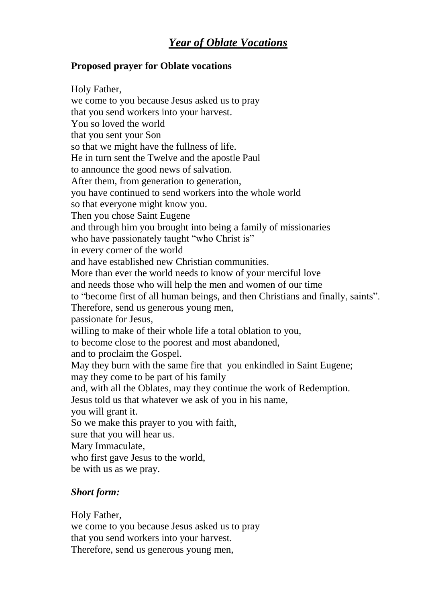## **Proposed prayer for Oblate vocations**

Holy Father, we come to you because Jesus asked us to pray that you send workers into your harvest. You so loved the world that you sent your Son so that we might have the fullness of life. He in turn sent the Twelve and the apostle Paul to announce the good news of salvation. After them, from generation to generation, you have continued to send workers into the whole world so that everyone might know you. Then you chose Saint Eugene and through him you brought into being a family of missionaries who have passionately taught "who Christ is" in every corner of the world and have established new Christian communities. More than ever the world needs to know of your merciful love and needs those who will help the men and women of our time to "become first of all human beings, and then Christians and finally, saints". Therefore, send us generous young men, passionate for Jesus, willing to make of their whole life a total oblation to you, to become close to the poorest and most abandoned, and to proclaim the Gospel. May they burn with the same fire that you enkindled in Saint Eugene; may they come to be part of his family and, with all the Oblates, may they continue the work of Redemption. Jesus told us that whatever we ask of you in his name, you will grant it. So we make this prayer to you with faith, sure that you will hear us. Mary Immaculate, who first gave Jesus to the world, be with us as we pray.

## *Short form:*

Holy Father, we come to you because Jesus asked us to pray that you send workers into your harvest. Therefore, send us generous young men,